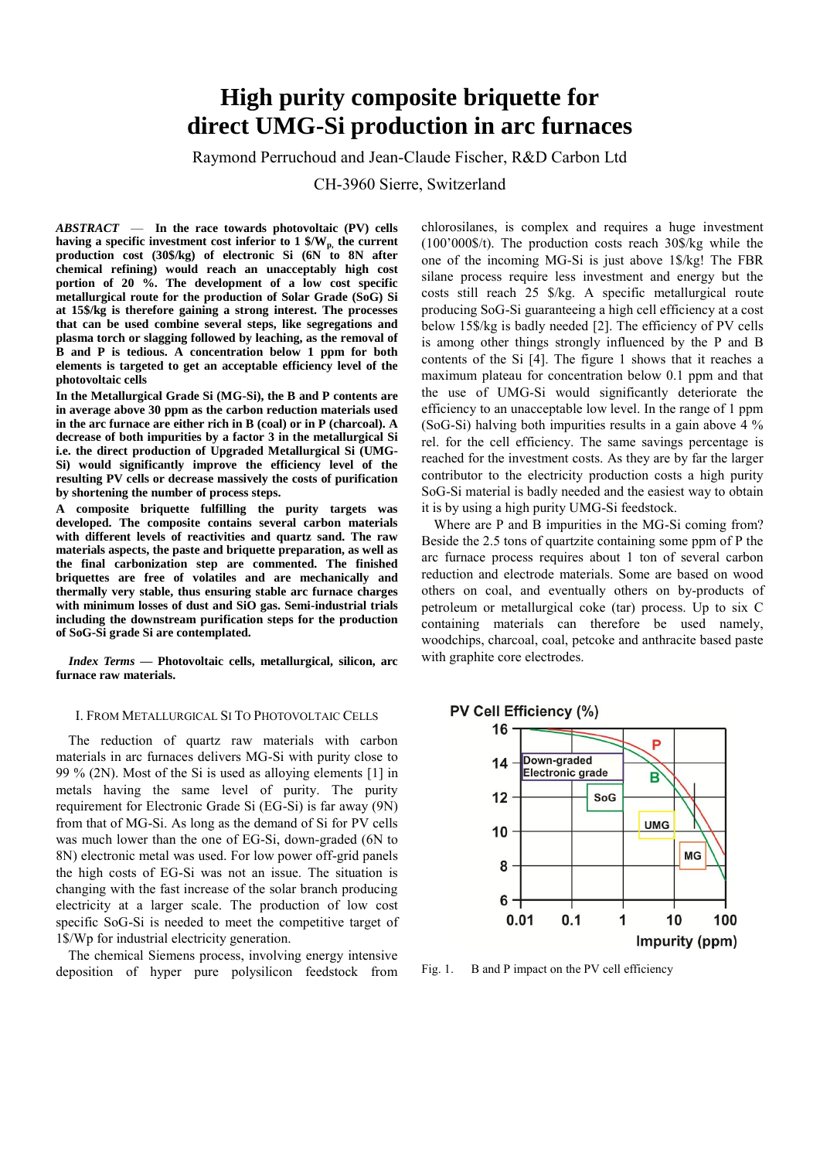# **High purity composite briquette for direct UMG-Si production in arc furnaces**

# Raymond Perruchoud and Jean-Claude Fischer, R&D Carbon Ltd

CH-3960 Sierre, Switzerland

*ABSTRACT* — **In the race towards photovoltaic (PV) cells having a specific investment cost inferior to 1 \$/Wp, the current production cost (30\$/kg) of electronic Si (6N to 8N after chemical refining) would reach an unacceptably high cost portion of 20 %. The development of a low cost specific metallurgical route for the production of Solar Grade (SoG) Si at 15\$/kg is therefore gaining a strong interest. The processes that can be used combine several steps, like segregations and plasma torch or slagging followed by leaching, as the removal of B and P is tedious. A concentration below 1 ppm for both elements is targeted to get an acceptable efficiency level of the photovoltaic cells** 

**In the Metallurgical Grade Si (MG-Si), the B and P contents are in average above 30 ppm as the carbon reduction materials used in the arc furnace are either rich in B (coal) or in P (charcoal). A decrease of both impurities by a factor 3 in the metallurgical Si i.e. the direct production of Upgraded Metallurgical Si (UMG-Si) would significantly improve the efficiency level of the resulting PV cells or decrease massively the costs of purification by shortening the number of process steps.**

**A composite briquette fulfilling the purity targets was developed. The composite contains several carbon materials with different levels of reactivities and quartz sand. The raw materials aspects, the paste and briquette preparation, as well as the final carbonization step are commented. The finished briquettes are free of volatiles and are mechanically and thermally very stable, thus ensuring stable arc furnace charges with minimum losses of dust and SiO gas. Semi-industrial trials including the downstream purification steps for the production of SoG-Si grade Si are contemplated.**

*Index Terms* **— Photovoltaic cells, metallurgical, silicon, arc furnace raw materials.**

## I. FROM METALLURGICAL SI TO PHOTOVOLTAIC CELLS

The reduction of quartz raw materials with carbon materials in arc furnaces delivers MG-Si with purity close to 99 % (2N). Most of the Si is used as alloying elements [1] in metals having the same level of purity. The purity requirement for Electronic Grade Si (EG-Si) is far away (9N) from that of MG-Si. As long as the demand of Si for PV cells was much lower than the one of EG-Si, down-graded (6N to 8N) electronic metal was used. For low power off-grid panels the high costs of EG-Si was not an issue. The situation is changing with the fast increase of the solar branch producing electricity at a larger scale. The production of low cost specific SoG-Si is needed to meet the competitive target of 1\$/Wp for industrial electricity generation.

The chemical Siemens process, involving energy intensive deposition of hyper pure polysilicon feedstock from chlorosilanes, is complex and requires a huge investment (100'000\$/t). The production costs reach 30\$/kg while the one of the incoming MG-Si is just above 1\$/kg! The FBR silane process require less investment and energy but the costs still reach 25 \$/kg. A specific metallurgical route producing SoG-Si guaranteeing a high cell efficiency at a cost below 15\$/kg is badly needed [2]. The efficiency of PV cells is among other things strongly influenced by the P and B contents of the Si [4]. The figure 1 shows that it reaches a maximum plateau for concentration below 0.1 ppm and that the use of UMG-Si would significantly deteriorate the efficiency to an unacceptable low level. In the range of 1 ppm (SoG-Si) halving both impurities results in a gain above 4 % rel. for the cell efficiency. The same savings percentage is reached for the investment costs. As they are by far the larger contributor to the electricity production costs a high purity SoG-Si material is badly needed and the easiest way to obtain it is by using a high purity UMG-Si feedstock.

Where are P and B impurities in the MG-Si coming from? Beside the 2.5 tons of quartzite containing some ppm of P the arc furnace process requires about 1 ton of several carbon reduction and electrode materials. Some are based on wood others on coal, and eventually others on by-products of petroleum or metallurgical coke (tar) process. Up to six C containing materials can therefore be used namely, woodchips, charcoal, coal, petcoke and anthracite based paste with graphite core electrodes.





Fig. 1. B and P impact on the PV cell efficiency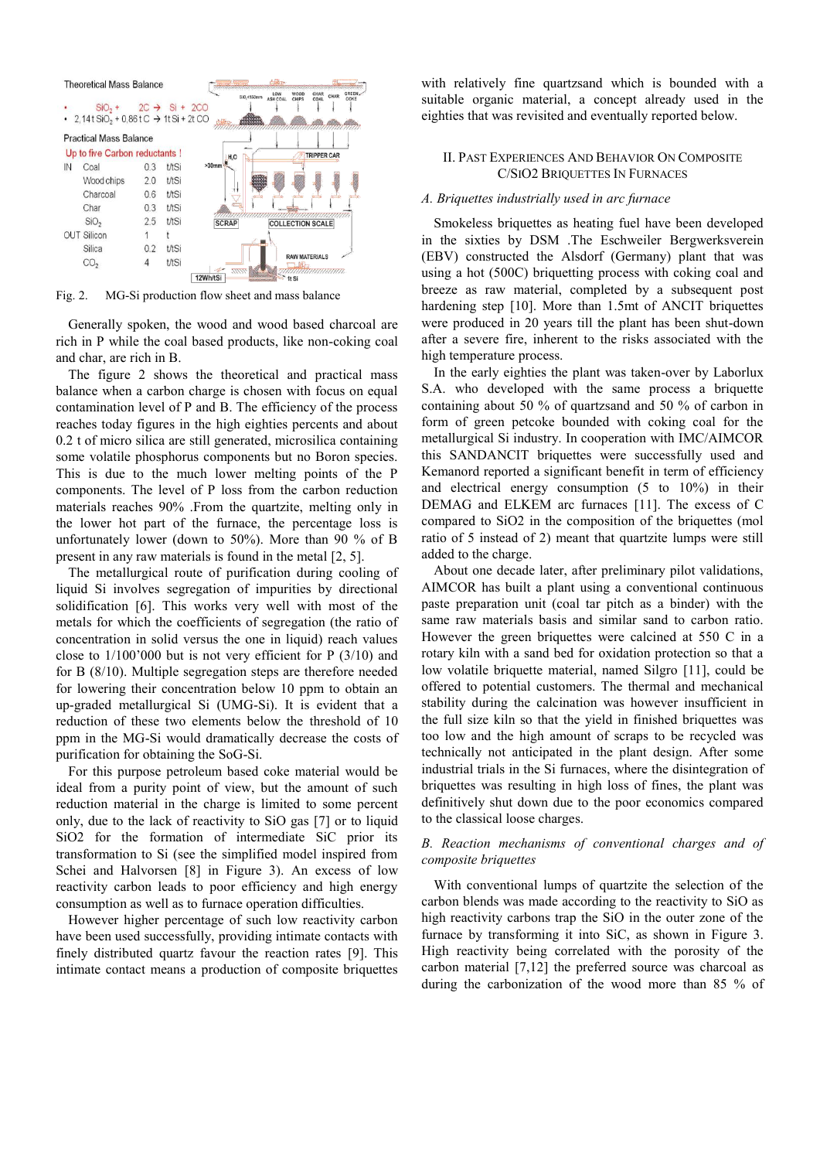

Fig. 2. MG-Si production flow sheet and mass balance

Generally spoken, the wood and wood based charcoal are rich in P while the coal based products, like non-coking coal and char, are rich in B.

The figure 2 shows the theoretical and practical mass balance when a carbon charge is chosen with focus on equal contamination level of P and B. The efficiency of the process reaches today figures in the high eighties percents and about 0.2 t of micro silica are still generated, microsilica containing some volatile phosphorus components but no Boron species. This is due to the much lower melting points of the P components. The level of P loss from the carbon reduction materials reaches 90% .From the quartzite, melting only in the lower hot part of the furnace, the percentage loss is unfortunately lower (down to 50%). More than 90 % of B present in any raw materials is found in the metal [2, 5].

The metallurgical route of purification during cooling of liquid Si involves segregation of impurities by directional solidification [6]. This works very well with most of the metals for which the coefficients of segregation (the ratio of concentration in solid versus the one in liquid) reach values close to 1/100'000 but is not very efficient for P (3/10) and for B (8/10). Multiple segregation steps are therefore needed for lowering their concentration below 10 ppm to obtain an up-graded metallurgical Si (UMG-Si). It is evident that a reduction of these two elements below the threshold of 10 ppm in the MG-Si would dramatically decrease the costs of purification for obtaining the SoG-Si.

For this purpose petroleum based coke material would be ideal from a purity point of view, but the amount of such reduction material in the charge is limited to some percent only, due to the lack of reactivity to SiO gas [7] or to liquid SiO2 for the formation of intermediate SiC prior its transformation to Si (see the simplified model inspired from Schei and Halvorsen [8] in Figure 3). An excess of low reactivity carbon leads to poor efficiency and high energy consumption as well as to furnace operation difficulties.

However higher percentage of such low reactivity carbon have been used successfully, providing intimate contacts with finely distributed quartz favour the reaction rates [9]. This intimate contact means a production of composite briquettes

with relatively fine quartzsand which is bounded with a suitable organic material, a concept already used in the eighties that was revisited and eventually reported below.

## II. PAST EXPERIENCES AND BEHAVIOR ON COMPOSITE C/SIO2 BRIQUETTES IN FURNACES

## *A. Briquettes industrially used in arc furnace*

Smokeless briquettes as heating fuel have been developed in the sixties by DSM .The Eschweiler Bergwerksverein (EBV) constructed the Alsdorf (Germany) plant that was using a hot (500C) briquetting process with coking coal and breeze as raw material, completed by a subsequent post hardening step [10]. More than 1.5mt of ANCIT briquettes were produced in 20 years till the plant has been shut-down after a severe fire, inherent to the risks associated with the high temperature process.

In the early eighties the plant was taken-over by Laborlux S.A. who developed with the same process a briquette containing about 50 % of quartzsand and 50 % of carbon in form of green petcoke bounded with coking coal for the metallurgical Si industry. In cooperation with IMC/AIMCOR this SANDANCIT briquettes were successfully used and Kemanord reported a significant benefit in term of efficiency and electrical energy consumption (5 to 10%) in their DEMAG and ELKEM arc furnaces [11]. The excess of C compared to SiO2 in the composition of the briquettes (mol ratio of 5 instead of 2) meant that quartzite lumps were still added to the charge.

About one decade later, after preliminary pilot validations, AIMCOR has built a plant using a conventional continuous paste preparation unit (coal tar pitch as a binder) with the same raw materials basis and similar sand to carbon ratio. However the green briquettes were calcined at 550 C in a rotary kiln with a sand bed for oxidation protection so that a low volatile briquette material, named Silgro [11], could be offered to potential customers. The thermal and mechanical stability during the calcination was however insufficient in the full size kiln so that the yield in finished briquettes was too low and the high amount of scraps to be recycled was technically not anticipated in the plant design. After some industrial trials in the Si furnaces, where the disintegration of briquettes was resulting in high loss of fines, the plant was definitively shut down due to the poor economics compared to the classical loose charges.

# *B. Reaction mechanisms of conventional charges and of composite briquettes*

With conventional lumps of quartzite the selection of the carbon blends was made according to the reactivity to SiO as high reactivity carbons trap the SiO in the outer zone of the furnace by transforming it into SiC, as shown in Figure 3. High reactivity being correlated with the porosity of the carbon material [7,12] the preferred source was charcoal as during the carbonization of the wood more than 85 % of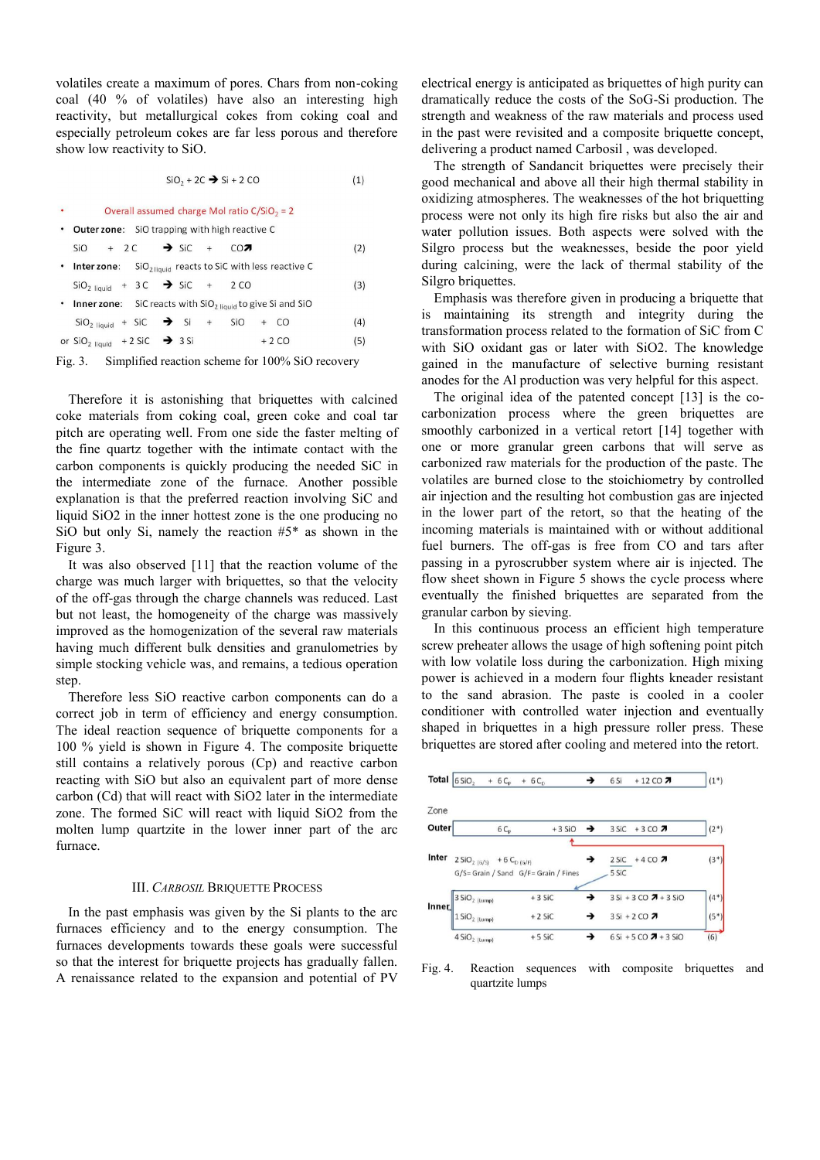volatiles create a maximum of pores. Chars from non-coking coal (40 % of volatiles) have also an interesting high reactivity, but metallurgical cokes from coking coal and especially petroleum cokes are far less porous and therefore show low reactivity to SiO.

$$
SiO_2 + 2C \rightarrow Si + 2 CO \tag{1}
$$

| Overall assumed charge Mol ratio $C/SIO_2 = 2$                         |  |  |  |  |        |  |     |
|------------------------------------------------------------------------|--|--|--|--|--------|--|-----|
| • Outer zone: SiO trapping with high reactive C                        |  |  |  |  |        |  |     |
| $SiO + 2C \rightarrow SiC + CO7$                                       |  |  |  |  |        |  | (2) |
| • <b>Inter zone</b> : $SiO2 liquid$ reacts to SiC with less reactive C |  |  |  |  |        |  |     |
| $SiO2$ liquid + 3 C $\rightarrow$ SiC + 2 CO                           |  |  |  |  |        |  | (3) |
| • Inner zone: SiC reacts with $SiO2$ liquid to give Si and SiO         |  |  |  |  |        |  |     |
| $SiO2 liquid + SiC$ $\rightarrow$ Si + SiO + CO                        |  |  |  |  |        |  | (4) |
| or $SiO2 liquid + 2 SiC$ $\rightarrow$ 3 Si                            |  |  |  |  | $+2CO$ |  | (5) |
|                                                                        |  |  |  |  |        |  |     |

Fig. 3. Simplified reaction scheme for 100% SiO recovery

Therefore it is astonishing that briquettes with calcined coke materials from coking coal, green coke and coal tar pitch are operating well. From one side the faster melting of the fine quartz together with the intimate contact with the carbon components is quickly producing the needed SiC in the intermediate zone of the furnace. Another possible explanation is that the preferred reaction involving SiC and liquid SiO2 in the inner hottest zone is the one producing no SiO but only Si, namely the reaction  $#5^*$  as shown in the Figure 3.

It was also observed [11] that the reaction volume of the charge was much larger with briquettes, so that the velocity of the off-gas through the charge channels was reduced. Last but not least, the homogeneity of the charge was massively improved as the homogenization of the several raw materials having much different bulk densities and granulometries by simple stocking vehicle was, and remains, a tedious operation step.

Therefore less SiO reactive carbon components can do a correct job in term of efficiency and energy consumption. The ideal reaction sequence of briquette components for a 100 % yield is shown in Figure 4. The composite briquette still contains a relatively porous (Cp) and reactive carbon reacting with SiO but also an equivalent part of more dense carbon (Cd) that will react with SiO2 later in the intermediate zone. The formed SiC will react with liquid SiO2 from the molten lump quartzite in the lower inner part of the arc furnace.

## III. *CARBOSIL* BRIQUETTE PROCESS

In the past emphasis was given by the Si plants to the arc furnaces efficiency and to the energy consumption. The furnaces developments towards these goals were successful so that the interest for briquette projects has gradually fallen. A renaissance related to the expansion and potential of PV

electrical energy is anticipated as briquettes of high purity can dramatically reduce the costs of the SoG-Si production. The strength and weakness of the raw materials and process used in the past were revisited and a composite briquette concept, delivering a product named Carbosil , was developed.

The strength of Sandancit briquettes were precisely their good mechanical and above all their high thermal stability in oxidizing atmospheres. The weaknesses of the hot briquetting process were not only its high fire risks but also the air and water pollution issues. Both aspects were solved with the Silgro process but the weaknesses, beside the poor yield during calcining, were the lack of thermal stability of the Silgro briquettes.

Emphasis was therefore given in producing a briquette that is maintaining its strength and integrity during the transformation process related to the formation of SiC from C with SiO oxidant gas or later with SiO2. The knowledge gained in the manufacture of selective burning resistant anodes for the Al production was very helpful for this aspect.

The original idea of the patented concept [13] is the cocarbonization process where the green briquettes are smoothly carbonized in a vertical retort [14] together with one or more granular green carbons that will serve as carbonized raw materials for the production of the paste. The volatiles are burned close to the stoichiometry by controlled air injection and the resulting hot combustion gas are injected in the lower part of the retort, so that the heating of the incoming materials is maintained with or without additional fuel burners. The off-gas is free from CO and tars after passing in a pyroscrubber system where air is injected. The flow sheet shown in Figure 5 shows the cycle process where eventually the finished briquettes are separated from the granular carbon by sieving.

In this continuous process an efficient high temperature screw preheater allows the usage of high softening point pitch with low volatile loss during the carbonization. High mixing power is achieved in a modern four flights kneader resistant to the sand abrasion. The paste is cooled in a cooler conditioner with controlled water injection and eventually shaped in briquettes in a high pressure roller press. These briquettes are stored after cooling and metered into the retort.



Fig. 4. Reaction sequences with composite briquettes and quartzite lumps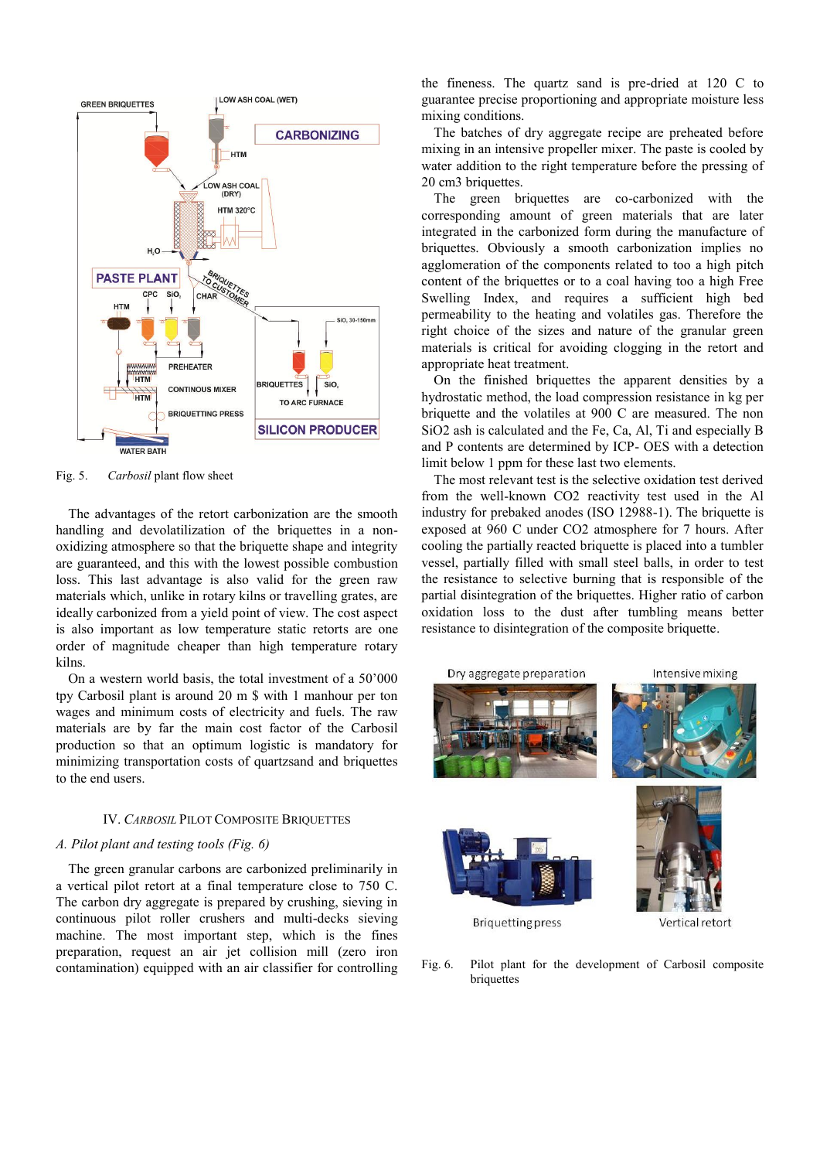

Fig. 5. *Carbosil* plant flow sheet

The advantages of the retort carbonization are the smooth handling and devolatilization of the briquettes in a nonoxidizing atmosphere so that the briquette shape and integrity are guaranteed, and this with the lowest possible combustion loss. This last advantage is also valid for the green raw materials which, unlike in rotary kilns or travelling grates, are ideally carbonized from a yield point of view. The cost aspect is also important as low temperature static retorts are one order of magnitude cheaper than high temperature rotary kilns.

On a western world basis, the total investment of a 50'000 tpy Carbosil plant is around 20 m \$ with 1 manhour per ton wages and minimum costs of electricity and fuels. The raw materials are by far the main cost factor of the Carbosil production so that an optimum logistic is mandatory for minimizing transportation costs of quartzsand and briquettes to the end users.

# IV. *CARBOSIL* PILOT COMPOSITE BRIQUETTES

## *A. Pilot plant and testing tools (Fig. 6)*

The green granular carbons are carbonized preliminarily in a vertical pilot retort at a final temperature close to 750 C. The carbon dry aggregate is prepared by crushing, sieving in continuous pilot roller crushers and multi-decks sieving machine. The most important step, which is the fines preparation, request an air jet collision mill (zero iron contamination) equipped with an air classifier for controlling the fineness. The quartz sand is pre-dried at 120 C to guarantee precise proportioning and appropriate moisture less mixing conditions.

The batches of dry aggregate recipe are preheated before mixing in an intensive propeller mixer. The paste is cooled by water addition to the right temperature before the pressing of 20 cm3 briquettes.

The green briquettes are co-carbonized with the corresponding amount of green materials that are later integrated in the carbonized form during the manufacture of briquettes. Obviously a smooth carbonization implies no agglomeration of the components related to too a high pitch content of the briquettes or to a coal having too a high Free Swelling Index, and requires a sufficient high bed permeability to the heating and volatiles gas. Therefore the right choice of the sizes and nature of the granular green materials is critical for avoiding clogging in the retort and appropriate heat treatment.

On the finished briquettes the apparent densities by a hydrostatic method, the load compression resistance in kg per briquette and the volatiles at 900 C are measured. The non SiO2 ash is calculated and the Fe, Ca, Al, Ti and especially B and P contents are determined by ICP- OES with a detection limit below 1 ppm for these last two elements.

The most relevant test is the selective oxidation test derived from the well-known CO2 reactivity test used in the Al industry for prebaked anodes (ISO 12988-1). The briquette is exposed at 960 C under CO2 atmosphere for 7 hours. After cooling the partially reacted briquette is placed into a tumbler vessel, partially filled with small steel balls, in order to test the resistance to selective burning that is responsible of the partial disintegration of the briquettes. Higher ratio of carbon oxidation loss to the dust after tumbling means better resistance to disintegration of the composite briquette.



Fig. 6. Pilot plant for the development of Carbosil composite briquettes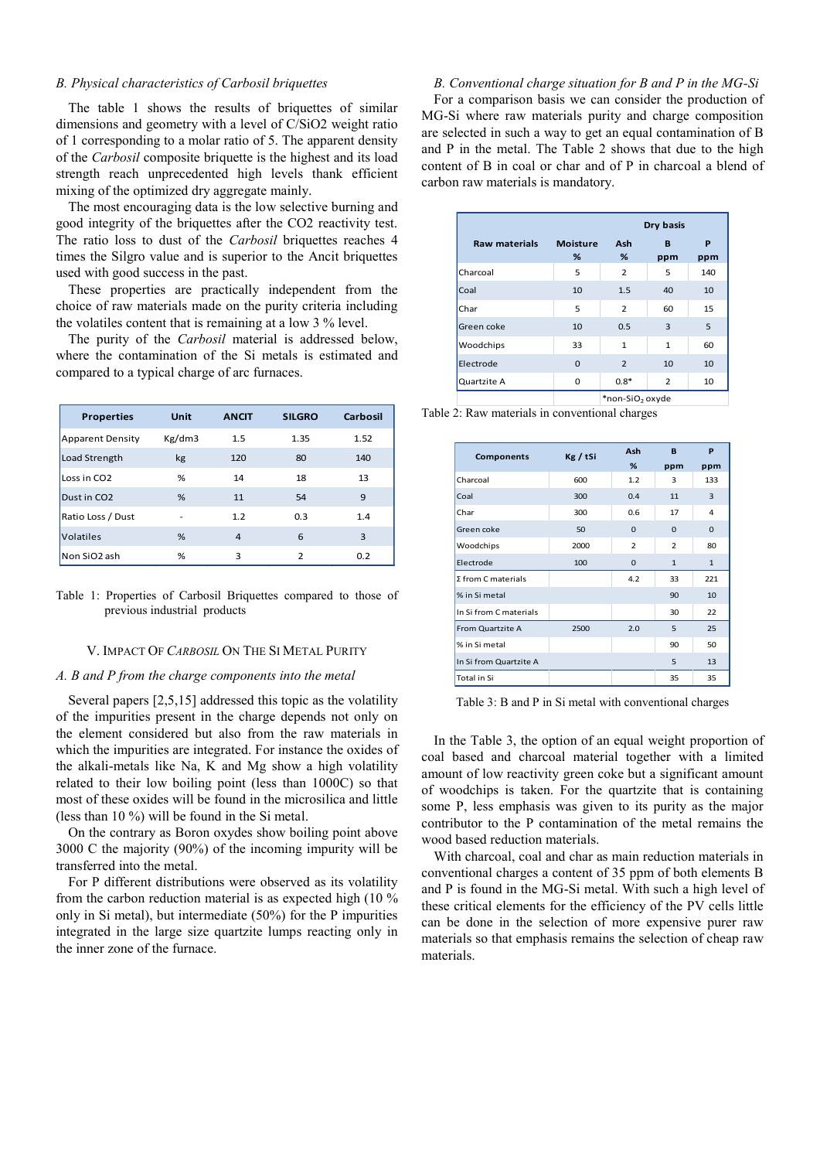## *B. Physical characteristics of Carbosil briquettes*

The table 1 shows the results of briquettes of similar dimensions and geometry with a level of C/SiO2 weight ratio of 1 corresponding to a molar ratio of 5. The apparent density of the *Carbosil* composite briquette is the highest and its load strength reach unprecedented high levels thank efficient mixing of the optimized dry aggregate mainly.

The most encouraging data is the low selective burning and good integrity of the briquettes after the CO2 reactivity test. The ratio loss to dust of the *Carbosil* briquettes reaches 4 times the Silgro value and is superior to the Ancit briquettes used with good success in the past.

These properties are practically independent from the choice of raw materials made on the purity criteria including the volatiles content that is remaining at a low 3 % level.

The purity of the *Carbosil* material is addressed below, where the contamination of the Si metals is estimated and compared to a typical charge of arc furnaces.

| <b>Properties</b>        | <b>Unit</b>    | <b>ANCIT</b> | <b>SILGRO</b>  | Carbosil |
|--------------------------|----------------|--------------|----------------|----------|
| <b>Apparent Density</b>  | Kg/dm3         | 1.5          | 1.35           | 1.52     |
| Load Strength            | kg             | 120          | 80             | 140      |
| Loss in CO <sub>2</sub>  | %              | 14           | 18             | 13       |
| Dust in CO <sub>2</sub>  | %              | 11           | 54             | 9        |
| Ratio Loss / Dust        | $\overline{a}$ | 1.2          | 0.3            | 1.4      |
| Volatiles                | %              | 4            | 6              | 3        |
| Non SiO <sub>2</sub> ash | %              | 3            | $\overline{2}$ | 0.2      |

Table 1: Properties of Carbosil Briquettes compared to those of previous industrial products

#### V. IMPACT OF *CARBOSIL* ON THE SI METAL PURITY

## *A. B and P from the charge components into the metal*

Several papers [2,5,15] addressed this topic as the volatility of the impurities present in the charge depends not only on the element considered but also from the raw materials in which the impurities are integrated. For instance the oxides of the alkali-metals like Na, K and Mg show a high volatility related to their low boiling point (less than 1000C) so that most of these oxides will be found in the microsilica and little (less than 10 %) will be found in the Si metal.

On the contrary as Boron oxydes show boiling point above 3000 C the majority (90%) of the incoming impurity will be transferred into the metal.

For P different distributions were observed as its volatility from the carbon reduction material is as expected high (10 % only in Si metal), but intermediate (50%) for the P impurities integrated in the large size quartzite lumps reacting only in the inner zone of the furnace.

## *B. Conventional charge situation for B and P in the MG-Si*

For a comparison basis we can consider the production of MG-Si where raw materials purity and charge composition are selected in such a way to get an equal contamination of B and P in the metal. The Table 2 shows that due to the high content of B in coal or char and of P in charcoal a blend of carbon raw materials is mandatory.

|                      | Dry basis            |                             |                |          |  |  |  |
|----------------------|----------------------|-----------------------------|----------------|----------|--|--|--|
| <b>Raw materials</b> | <b>Moisture</b><br>% | Ash<br>%                    | в<br>ppm       | P<br>ppm |  |  |  |
| Charcoal             | 5                    | $\overline{2}$              | 5              | 140      |  |  |  |
| Coal                 | 10                   | 1.5                         | 40             | 10       |  |  |  |
| Char                 | 5                    | $\overline{2}$              | 60             | 15       |  |  |  |
| Green coke           | 10                   | 0.5                         | 3              | 5        |  |  |  |
| Woodchips            | 33                   | $\mathbf{1}$                | $\mathbf{1}$   | 60       |  |  |  |
| Electrode            | $\mathbf 0$          | $\overline{2}$              | 10             | 10       |  |  |  |
| Quartzite A          | 0                    | $0.8*$                      | $\overline{2}$ | 10       |  |  |  |
|                      |                      | *non-SiO <sub>2</sub> oxyde |                |          |  |  |  |

Table 2: Raw materials in conventional charges

| Components             | Kg / tSi | Ash            | B              | P            |
|------------------------|----------|----------------|----------------|--------------|
|                        |          | %              | ppm            | ppm          |
| Charcoal               | 600      | 1.2            | 3              | 133          |
| Coal                   | 300      | 0.4            | 11             | 3            |
| Char                   | 300      | 0.6            | 17             | 4            |
| Green coke             | 50       | $\Omega$       | $\Omega$       | $\Omega$     |
| Woodchips              | 2000     | $\overline{2}$ | $\overline{2}$ | 80           |
| Electrode              | 100      | $\Omega$       | $\mathbf{1}$   | $\mathbf{1}$ |
| Σ from C materials     |          | 4.2            | 33             | 221          |
| % in Si metal          |          |                | 90             | 10           |
| In Si from C materials |          |                | 30             | 22           |
| From Quartzite A       | 2500     | 2.0            | 5              | 25           |
| % in Si metal          |          |                | 90             | 50           |
| In Si from Quartzite A |          |                | 5              | 13           |
| Total in Si            |          |                | 35             | 35           |

Table 3: B and P in Si metal with conventional charges

In the Table 3, the option of an equal weight proportion of coal based and charcoal material together with a limited amount of low reactivity green coke but a significant amount of woodchips is taken. For the quartzite that is containing some P, less emphasis was given to its purity as the major contributor to the P contamination of the metal remains the wood based reduction materials.

With charcoal, coal and char as main reduction materials in conventional charges a content of 35 ppm of both elements B and P is found in the MG-Si metal. With such a high level of these critical elements for the efficiency of the PV cells little can be done in the selection of more expensive purer raw materials so that emphasis remains the selection of cheap raw materials.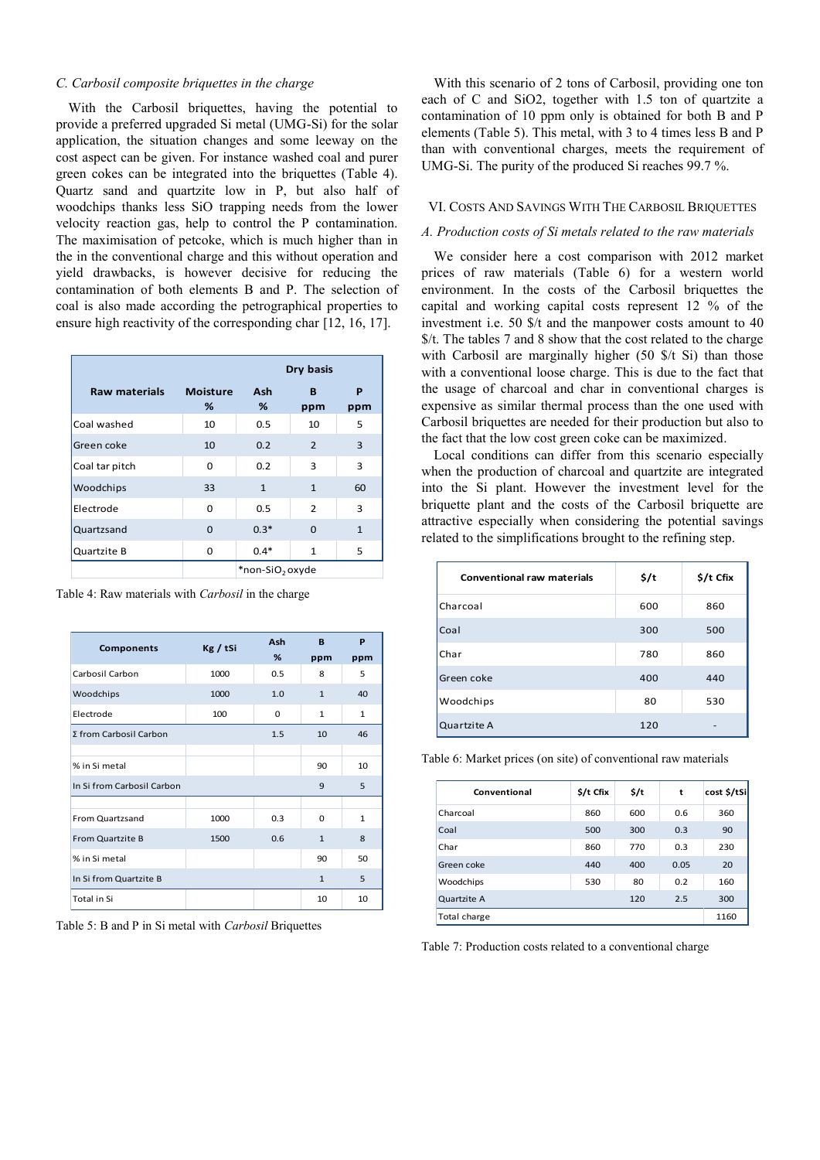## *C. Carbosil composite briquettes in the charge*

With the Carbosil briquettes, having the potential to provide a preferred upgraded Si metal (UMG-Si) for the solar application, the situation changes and some leeway on the cost aspect can be given. For instance washed coal and purer green cokes can be integrated into the briquettes (Table 4). Quartz sand and quartzite low in P, but also half of woodchips thanks less SiO trapping needs from the lower velocity reaction gas, help to control the P contamination. The maximisation of petcoke, which is much higher than in the in the conventional charge and this without operation and yield drawbacks, is however decisive for reducing the contamination of both elements B and P. The selection of coal is also made according the petrographical properties to ensure high reactivity of the corresponding char [12, 16, 17].

|                      |                      | Dry basis                   |                |              |  |
|----------------------|----------------------|-----------------------------|----------------|--------------|--|
| <b>Raw materials</b> | <b>Moisture</b><br>℅ | Ash<br>%                    | B<br>ppm       | P<br>ppm     |  |
| Coal washed          | 10                   | 0.5                         | 10             | 5            |  |
| Green coke           | 10                   | 0.2                         | $\overline{2}$ | 3            |  |
| Coal tar pitch       | $\Omega$             | 0.2                         | 3              | 3            |  |
| Woodchips            | 33                   | $\mathbf{1}$                | $\mathbf{1}$   | 60           |  |
| Electrode            | $\Omega$             | 0.5                         | 2              | 3            |  |
| Quartzsand           | $\Omega$             | $0.3*$                      | $\Omega$       | $\mathbf{1}$ |  |
| Quartzite B          | <sup>0</sup>         | $0.4*$                      | $\mathbf{1}$   | 5            |  |
|                      |                      | *non-SiO <sub>2</sub> oxyde |                |              |  |

Table 4: Raw materials with *Carbosil* in the charge

| <b>Components</b>          | Kg / tSi | Ash      | B            | P            |
|----------------------------|----------|----------|--------------|--------------|
|                            |          | %        | ppm          | ppm          |
| Carbosil Carbon            | 1000     | 0.5      | 8            | 5            |
| Woodchips                  | 1000     | 1.0      | $\mathbf{1}$ | 40           |
| Electrode                  | 100      | $\Omega$ | 1            | 1            |
| Σ from Carbosil Carbon     |          | 1.5      | 10           | 46           |
|                            |          |          |              |              |
| % in Si metal              |          |          | 90           | 10           |
| In Si from Carbosil Carbon |          |          | 9            | 5            |
|                            |          |          |              |              |
| From Quartzsand            | 1000     | 0.3      | $\Omega$     | $\mathbf{1}$ |
| From Quartzite B           | 1500     | 0.6      | $\mathbf{1}$ | 8            |
| % in Si metal              |          |          | 90           | 50           |
| In Si from Quartzite B     |          |          | $\mathbf{1}$ | 5            |
| Total in Si                |          |          | 10           | 10           |

Table 5: B and P in Si metal with *Carbosil* Briquettes

With this scenario of 2 tons of Carbosil, providing one ton each of C and SiO2, together with 1.5 ton of quartzite a contamination of 10 ppm only is obtained for both B and P elements (Table 5). This metal, with 3 to 4 times less B and P than with conventional charges, meets the requirement of UMG-Si. The purity of the produced Si reaches 99.7 %.

#### VI. COSTS AND SAVINGS WITH THE CARBOSIL BRIQUETTES

## *A. Production costs of Si metals related to the raw materials*

We consider here a cost comparison with 2012 market prices of raw materials (Table 6) for a western world environment. In the costs of the Carbosil briquettes the capital and working capital costs represent 12 % of the investment i.e. 50 \$/t and the manpower costs amount to 40 \$/t. The tables 7 and 8 show that the cost related to the charge with Carbosil are marginally higher (50  $\frac{f}{f}$ ) than those with a conventional loose charge. This is due to the fact that the usage of charcoal and char in conventional charges is expensive as similar thermal process than the one used with Carbosil briquettes are needed for their production but also to the fact that the low cost green coke can be maximized.

Local conditions can differ from this scenario especially when the production of charcoal and quartzite are integrated into the Si plant. However the investment level for the briquette plant and the costs of the Carbosil briquette are attractive especially when considering the potential savings related to the simplifications brought to the refining step.

| <b>Conventional raw materials</b> | \$/t | \$/t Cfix |
|-----------------------------------|------|-----------|
| Charcoal                          | 600  | 860       |
| Coal                              | 300  | 500       |
| Char                              | 780  | 860       |
| Green coke                        | 400  | 440       |
| Woodchips                         | 80   | 530       |
| Quartzite A                       | 120  | -         |

Table 6: Market prices (on site) of conventional raw materials

| Conventional | \$/t Cfix | \$/t | t    | cost \$/tSi |
|--------------|-----------|------|------|-------------|
| Charcoal     | 860       | 600  | 0.6  | 360         |
| Coal         | 500       | 300  | 0.3  | 90          |
| Char         | 860       | 770  | 0.3  | 230         |
| Green coke   | 440       | 400  | 0.05 | 20          |
| Woodchips    | 530       | 80   | 0.2  | 160         |
| Quartzite A  |           | 120  | 2.5  | 300         |
| Total charge |           |      |      | 1160        |

Table 7: Production costs related to a conventional charge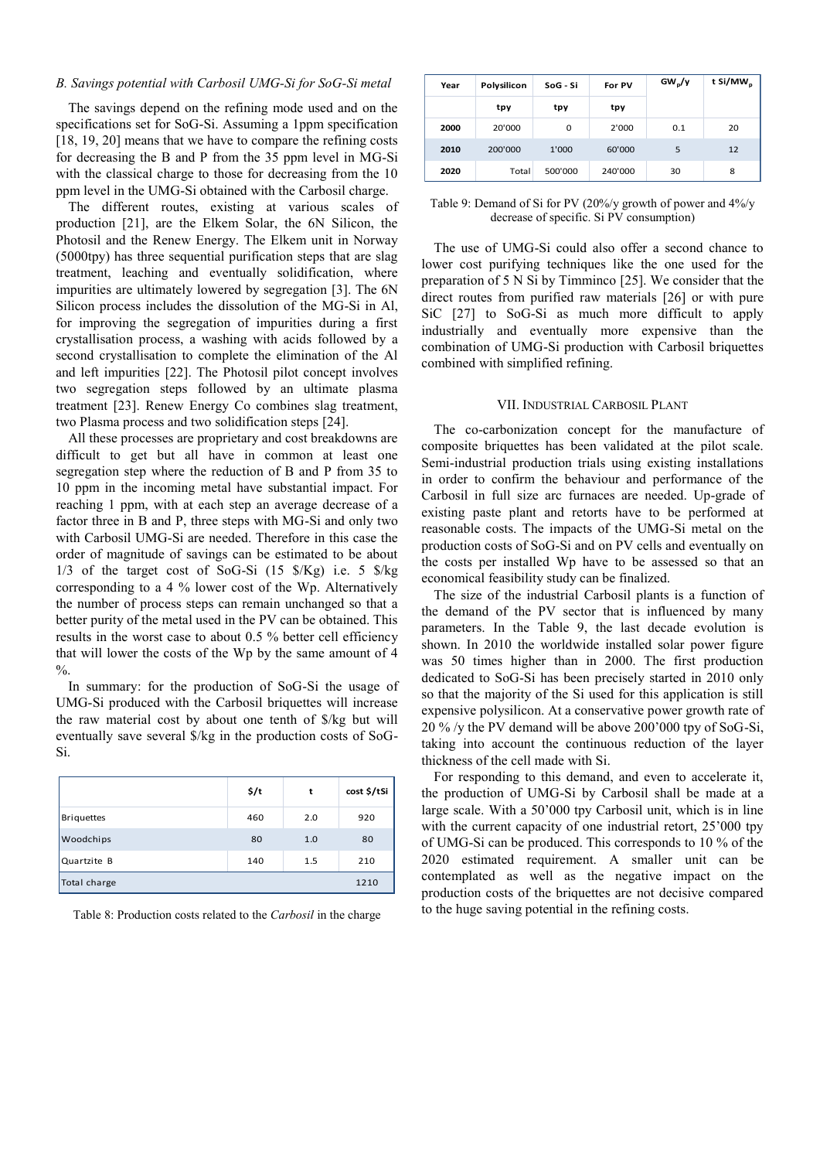## *B. Savings potential with Carbosil UMG-Si for SoG-Si metal*

The savings depend on the refining mode used and on the specifications set for SoG-Si. Assuming a 1ppm specification [18, 19, 20] means that we have to compare the refining costs for decreasing the B and P from the 35 ppm level in MG-Si with the classical charge to those for decreasing from the 10 ppm level in the UMG-Si obtained with the Carbosil charge.

The different routes, existing at various scales of production [21], are the Elkem Solar, the 6N Silicon, the Photosil and the Renew Energy. The Elkem unit in Norway (5000tpy) has three sequential purification steps that are slag treatment, leaching and eventually solidification, where impurities are ultimately lowered by segregation [3]. The 6N Silicon process includes the dissolution of the MG-Si in Al, for improving the segregation of impurities during a first crystallisation process, a washing with acids followed by a second crystallisation to complete the elimination of the Al and left impurities [22]. The Photosil pilot concept involves two segregation steps followed by an ultimate plasma treatment [23]. Renew Energy Co combines slag treatment, two Plasma process and two solidification steps [24].

All these processes are proprietary and cost breakdowns are difficult to get but all have in common at least one segregation step where the reduction of B and P from 35 to 10 ppm in the incoming metal have substantial impact. For reaching 1 ppm, with at each step an average decrease of a factor three in B and P, three steps with MG-Si and only two with Carbosil UMG-Si are needed. Therefore in this case the order of magnitude of savings can be estimated to be about 1/3 of the target cost of SoG-Si (15 \$/Kg) i.e. 5 \$/kg corresponding to a 4 % lower cost of the Wp. Alternatively the number of process steps can remain unchanged so that a better purity of the metal used in the PV can be obtained. This results in the worst case to about 0.5 % better cell efficiency that will lower the costs of the Wp by the same amount of 4  $\frac{0}{6}$ .

In summary: for the production of SoG-Si the usage of UMG-Si produced with the Carbosil briquettes will increase the raw material cost by about one tenth of \$/kg but will eventually save several \$/kg in the production costs of SoG-Si.

|                   | \$/t | t   | cost \$/tSi |
|-------------------|------|-----|-------------|
| <b>Briquettes</b> | 460  | 2.0 | 920         |
| Woodchips         | 80   | 1.0 | 80          |
| Quartzite B       | 140  | 1.5 | 210         |
| Total charge      |      |     | 1210        |

Table 8: Production costs related to the *Carbosil* in the charge

| Year | Polysilicon | SoG - Si | For PV  | GW <sub>p</sub> /y | t Si/MW <sub>p</sub> |
|------|-------------|----------|---------|--------------------|----------------------|
|      | tpy         | tpy      | tpy     |                    |                      |
| 2000 | 20'000      | 0        | 2'000   | 0.1                | 20                   |
| 2010 | 200'000     | 1'000    | 60'000  | 5                  | 12                   |
| 2020 | Total       | 500'000  | 240'000 | 30                 | 8                    |

Table 9: Demand of Si for PV (20%/y growth of power and 4%/y decrease of specific. Si PV consumption)

The use of UMG-Si could also offer a second chance to lower cost purifying techniques like the one used for the preparation of 5 N Si by Timminco [25]. We consider that the direct routes from purified raw materials [26] or with pure SiC [27] to SoG-Si as much more difficult to apply industrially and eventually more expensive than the combination of UMG-Si production with Carbosil briquettes combined with simplified refining.

## VII. INDUSTRIAL CARBOSIL PLANT

The co-carbonization concept for the manufacture of composite briquettes has been validated at the pilot scale. Semi-industrial production trials using existing installations in order to confirm the behaviour and performance of the Carbosil in full size arc furnaces are needed. Up-grade of existing paste plant and retorts have to be performed at reasonable costs. The impacts of the UMG-Si metal on the production costs of SoG-Si and on PV cells and eventually on the costs per installed Wp have to be assessed so that an economical feasibility study can be finalized.

The size of the industrial Carbosil plants is a function of the demand of the PV sector that is influenced by many parameters. In the Table 9, the last decade evolution is shown. In 2010 the worldwide installed solar power figure was 50 times higher than in 2000. The first production dedicated to SoG-Si has been precisely started in 2010 only so that the majority of the Si used for this application is still expensive polysilicon. At a conservative power growth rate of 20 % /y the PV demand will be above 200'000 tpy of SoG-Si, taking into account the continuous reduction of the layer thickness of the cell made with Si.

For responding to this demand, and even to accelerate it, the production of UMG-Si by Carbosil shall be made at a large scale. With a 50'000 tpy Carbosil unit, which is in line with the current capacity of one industrial retort,  $25'000$  tpy of UMG-Si can be produced. This corresponds to 10 % of the 2020 estimated requirement. A smaller unit can be contemplated as well as the negative impact on the production costs of the briquettes are not decisive compared to the huge saving potential in the refining costs.